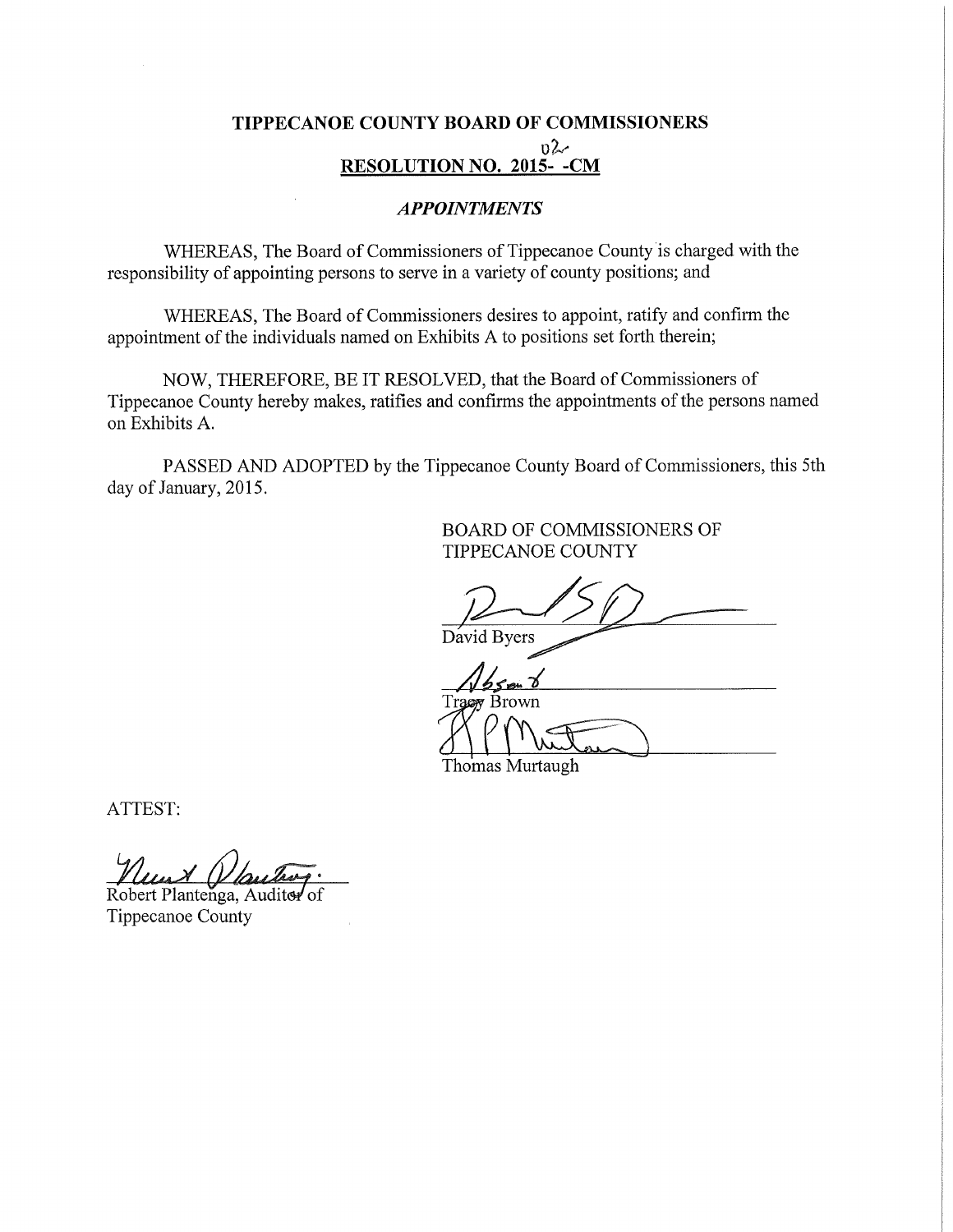## TIPPECANOE COUNTY BOARD OF COMMISSIONERS  $0\sim$ RESOLUTION NO. 2015- -CM

### APPOINTMENTS

WHEREAS, The Board of Commissioners of Tippecanoe County is charged with the responsibility of appointing persons to serve in <sup>a</sup> variety of county positions; and

WHEREAS, The Board of Commissioners desires to appoint, ratify and confirm the appointment of the individuals named on Exhibits A to positions set forth therein;

NOW, THEREFORE, BE IT RESOLVED, that the Board of Commissioners of Tippecanoe County hereby makes, ratifies and confirms the appointments of the persons named on Exhibits A.

PASSED AND ADOPTED by the Tippecanoe County Board of Commissioners, this 5th day of January, 2015.

> BOARD OF COMMISSIONERS OF TIPPECANOE COUNTY

David Byers

Brown

Thomas Murtaugh

ATTEST:

Robert Plantenga, Auditer of

Tippecanoe County